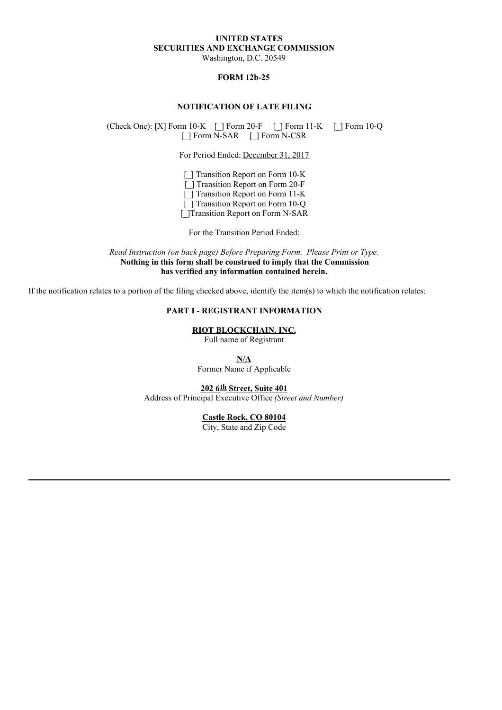# **UNITED STATES SECURITIES AND EXCHANGE COMMISSION**

Washington, D.C. 20549

## **FORM 12b-25**

### **NOTIFICATION OF LATE FILING**

(Check One): [X] Form 10-K [\_] Form 20-F [\_] Form 11-K [\_] Form 10-Q [\_] Form N-SAR [\_] Form N-CSR

For Period Ended: December 31, 2017

[] Transition Report on Form 10-K [] Transition Report on Form 20-F [\_] Transition Report on Form 11-K [ ] Transition Report on Form 10-Q [\_]Transition Report on Form N-SAR

For the Transition Period Ended:

*Read Instruction (on back page) Before Preparing Form. Please Print or Type.* **Nothing in this form shall be construed to imply that the Commission has verified any information contained herein.**

If the notification relates to a portion of the filing checked above, identify the item(s) to which the notification relates:

# **PART I - REGISTRANT INFORMATION**

**RIOT BLOCKCHAIN, INC.**

Full name of Registrant

**N/A**

Former Name if Applicable

**202 6th Street, Suite 401** Address of Principal Executive Office *(Street and Number)*

#### **Castle Rock, CO 80104**

City, State and Zip Code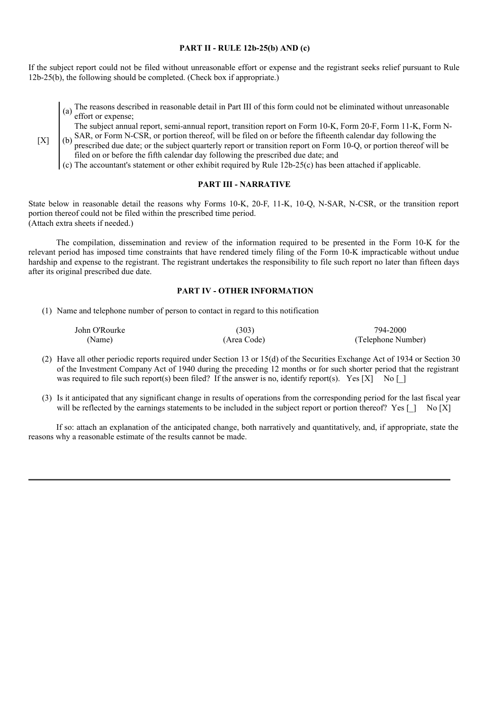#### **PART II - RULE 12b-25(b) AND (c)**

If the subject report could not be filed without unreasonable effort or expense and the registrant seeks relief pursuant to Rule 12b-25(b), the following should be completed. (Check box if appropriate.)

(a) The reasons described in reasonable detail in Part III of this form could not be eliminated without unreasonable effort or expense;

The subject annual report, semi-annual report, transition report on Form 10-K, Form 20-F, Form 11-K, Form N-

- $[X]$  (b) SAR, or Form N-CSR, or portion thereof, will be filed on or before the fifteenth calendar day following the prescribed due date; or the subject quarterly report or transition report on Form 10-Q, or portion thereof will be filed on or before the fifth calendar day following the prescribed due date; and
	- (c) The accountant's statement or other exhibit required by Rule 12b-25(c) has been attached if applicable.

### **PART III - NARRATIVE**

State below in reasonable detail the reasons why Forms 10-K, 20-F, 11-K, 10-Q, N-SAR, N-CSR, or the transition report portion thereof could not be filed within the prescribed time period. (Attach extra sheets if needed.)

The compilation, dissemination and review of the information required to be presented in the Form 10-K for the relevant period has imposed time constraints that have rendered timely filing of the Form 10-K impracticable without undue hardship and expense to the registrant. The registrant undertakes the responsibility to file such report no later than fifteen days after its original prescribed due date.

### **PART IV - OTHER INFORMATION**

(1) Name and telephone number of person to contact in regard to this notification

| John O'Rourke | (303)       | 794-2000           |
|---------------|-------------|--------------------|
| (Name)        | (Area Code) | (Telephone Number) |

- (2) Have all other periodic reports required under Section 13 or 15(d) of the Securities Exchange Act of 1934 or Section 30 of the Investment Company Act of 1940 during the preceding 12 months or for such shorter period that the registrant was required to file such report(s) been filed? If the answer is no, identify report(s). Yes  $[X]$  No []
- (3) Is it anticipated that any significant change in results of operations from the corresponding period for the last fiscal year will be reflected by the earnings statements to be included in the subject report or portion thereof? Yes [] No [X]

If so: attach an explanation of the anticipated change, both narratively and quantitatively, and, if appropriate, state the reasons why a reasonable estimate of the results cannot be made.